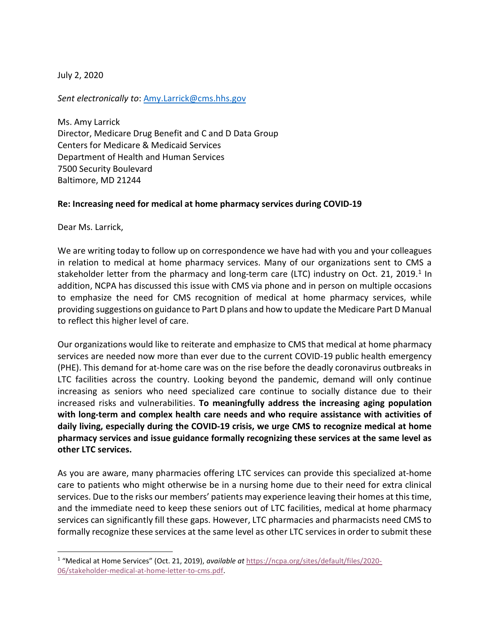July 2, 2020

Sent electronically to: Amy.Larrick@cms.hhs.gov

Ms. Amy Larrick Director, Medicare Drug Benefit and C and D Data Group Centers for Medicare & Medicaid Services Department of Health and Human Services 7500 Security Boulevard Baltimore, MD 21244

## Re: Increasing need for medical at home pharmacy services during COVID-19

Dear Ms. Larrick,

We are writing today to follow up on correspondence we have had with you and your colleagues in relation to medical at home pharmacy services. Many of our organizations sent to CMS a stakeholder letter from the pharmacy and long-term care (LTC) industry on Oct. 21, 2019.<sup>1</sup> In addition, NCPA has discussed this issue with CMS via phone and in person on multiple occasions to emphasize the need for CMS recognition of medical at home pharmacy services, while providing suggestions on guidance to Part D plans and how to update the Medicare Part D Manual to reflect this higher level of care.

Our organizations would like to reiterate and emphasize to CMS that medical at home pharmacy services are needed now more than ever due to the current COVID-19 public health emergency (PHE). This demand for at-home care was on the rise before the deadly coronavirus outbreaks in LTC facilities across the country. Looking beyond the pandemic, demand will only continue increasing as seniors who need specialized care continue to socially distance due to their increased risks and vulnerabilities. To meaningfully address the increasing aging population with long-term and complex health care needs and who require assistance with activities of daily living, especially during the COVID-19 crisis, we urge CMS to recognize medical at home pharmacy services and issue guidance formally recognizing these services at the same level as other LTC services.

As you are aware, many pharmacies offering LTC services can provide this specialized at-home care to patients who might otherwise be in a nursing home due to their need for extra clinical services. Due to the risks our members' patients may experience leaving their homes at this time, and the immediate need to keep these seniors out of LTC facilities, medical at home pharmacy services can significantly fill these gaps. However, LTC pharmacies and pharmacists need CMS to formally recognize these services at the same level as other LTC services in order to submit these

<sup>&</sup>lt;sup>1</sup> "Medical at Home Services" (Oct. 21, 2019), available at https://ncpa.org/sites/default/files/2020-06/stakeholder-medical-at-home-letter-to-cms.pdf.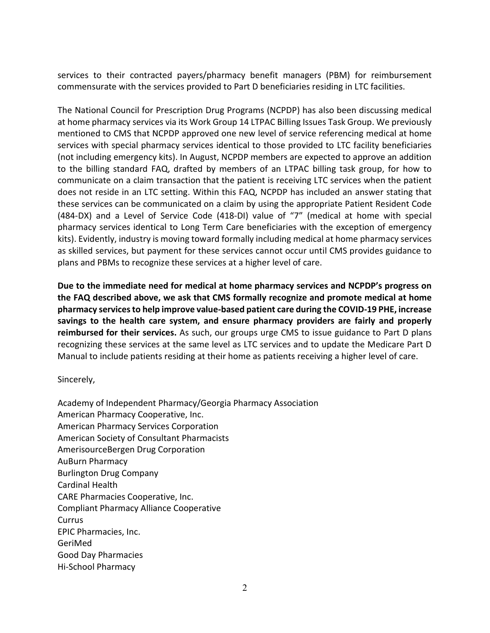services to their contracted payers/pharmacy benefit managers (PBM) for reimbursement commensurate with the services provided to Part D beneficiaries residing in LTC facilities.

The National Council for Prescription Drug Programs (NCPDP) has also been discussing medical at home pharmacy services via its Work Group 14 LTPAC Billing Issues Task Group. We previously mentioned to CMS that NCPDP approved one new level of service referencing medical at home services with special pharmacy services identical to those provided to LTC facility beneficiaries (not including emergency kits). In August, NCPDP members are expected to approve an addition to the billing standard FAQ, drafted by members of an LTPAC billing task group, for how to communicate on a claim transaction that the patient is receiving LTC services when the patient does not reside in an LTC setting. Within this FAQ, NCPDP has included an answer stating that these services can be communicated on a claim by using the appropriate Patient Resident Code (484-DX) and a Level of Service Code (418-DI) value of "7" (medical at home with special pharmacy services identical to Long Term Care beneficiaries with the exception of emergency kits). Evidently, industry is moving toward formally including medical at home pharmacy services as skilled services, but payment for these services cannot occur until CMS provides guidance to plans and PBMs to recognize these services at a higher level of care.

Due to the immediate need for medical at home pharmacy services and NCPDP's progress on the FAQ described above, we ask that CMS formally recognize and promote medical at home pharmacy services to help improve value-based patient care during the COVID-19 PHE, increase savings to the health care system, and ensure pharmacy providers are fairly and properly reimbursed for their services. As such, our groups urge CMS to issue guidance to Part D plans recognizing these services at the same level as LTC services and to update the Medicare Part D Manual to include patients residing at their home as patients receiving a higher level of care.

Sincerely,

Academy of Independent Pharmacy/Georgia Pharmacy Association American Pharmacy Cooperative, Inc. American Pharmacy Services Corporation American Society of Consultant Pharmacists AmerisourceBergen Drug Corporation AuBurn Pharmacy Burlington Drug Company Cardinal Health CARE Pharmacies Cooperative, Inc. Compliant Pharmacy Alliance Cooperative Currus EPIC Pharmacies, Inc. GeriMed Good Day Pharmacies Hi-School Pharmacy